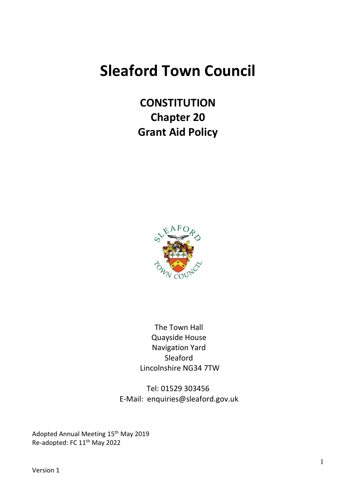# **Sleaford Town Council**

**CONSTITUTION Chapter 20 Grant Aid Policy**



The Town Hall Quayside House Navigation Yard Sleaford Lincolnshire NG34 7TW

Tel: 01529 303456 E-Mail: enquiries@sleaford.gov.uk

Adopted Annual Meeting 15<sup>th</sup> May 2019 Re-adopted: FC 11<sup>th</sup> May 2022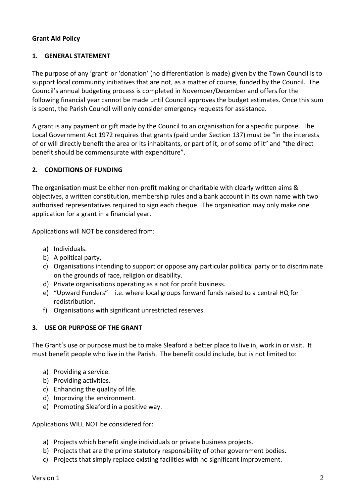## **Grant Aid Policy**

### **1. GENERAL STATEMENT**

The purpose of any 'grant' or 'donation' (no differentiation is made) given by the Town Council is to support local community initiatives that are not, as a matter of course, funded by the Council. The Council's annual budgeting process is completed in November/December and offers for the following financial year cannot be made until Council approves the budget estimates. Once this sum is spent, the Parish Council will only consider emergency requests for assistance.

A grant is any payment or gift made by the Council to an organisation for a specific purpose. The Local Government Act 1972 requires that grants (paid under Section 137) must be "in the interests of or will directly benefit the area or its inhabitants, or part of it, or of some of it" and "the direct benefit should be commensurate with expenditure".

## **2. CONDITIONS OF FUNDING**

The organisation must be either non-profit making or charitable with clearly written aims & objectives, a written constitution, membership rules and a bank account in its own name with two authorised representatives required to sign each cheque. The organisation may only make one application for a grant in a financial year.

Applications will NOT be considered from:

- a) Individuals.
- b) A political party.
- c) Organisations intending to support or oppose any particular political party or to discriminate on the grounds of race, religion or disability.
- d) Private organisations operating as a not for profit business.
- e) "Upward Funders" i.e. where local groups forward funds raised to a central HQ for redistribution.
- f) Organisations with significant unrestricted reserves.

## **3. USE OR PURPOSE OF THE GRANT**

The Grant's use or purpose must be to make Sleaford a better place to live in, work in or visit. It must benefit people who live in the Parish. The benefit could include, but is not limited to:

- a) Providing a service.
- b) Providing activities.
- c) Enhancing the quality of life.
- d) Improving the environment.
- e) Promoting Sleaford in a positive way.

Applications WILL NOT be considered for:

- a) Projects which benefit single individuals or private business projects.
- b) Projects that are the prime statutory responsibility of other government bodies.
- c) Projects that simply replace existing facilities with no significant improvement.